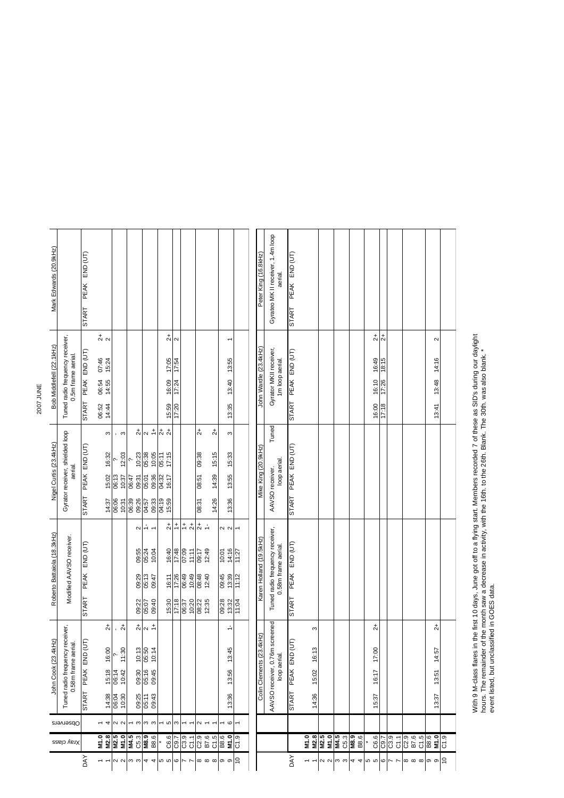| Mark Edwards (20.9kHz)                                                            |                                           | PEAK END (UT)<br><b>START</b> |                      |       |                                |                            |                |                                     |                      |                |                             |                                           |                      |                   |                  |                       | Peter King (16.8kHz)                      | Gyrateo MK II receiver, 1.4m loop<br>aerial.           | PEAK END (UT)<br><b>START</b> |                |              |              |              |                                       |                           |              |                |                            |        |                     |  |
|-----------------------------------------------------------------------------------|-------------------------------------------|-------------------------------|----------------------|-------|--------------------------------|----------------------------|----------------|-------------------------------------|----------------------|----------------|-----------------------------|-------------------------------------------|----------------------|-------------------|------------------|-----------------------|-------------------------------------------|--------------------------------------------------------|-------------------------------|----------------|--------------|--------------|--------------|---------------------------------------|---------------------------|--------------|----------------|----------------------------|--------|---------------------|--|
| Tuned radio frequency receiver,<br>0.5m frame aerial.<br>Bob Middlefell (22.1kHz) |                                           |                               | $\frac{1}{2}$        |       |                                |                            |                |                                     | $\stackrel{+}{\sim}$ | $\sim$         |                             |                                           |                      | ٣                 |                  |                       |                                           |                                                        |                               |                |              |              |              | $\stackrel{+}{\sim}$<br>$\frac{1}{2}$ |                           |              |                |                            | $\sim$ |                     |  |
|                                                                                   |                                           | PEAK END (UT)                 | 07:46<br>15:24       |       |                                |                            |                |                                     |                      | 17:05          | 17:54                       |                                           |                      |                   | 13:55            |                       |                                           |                                                        | PEAK END (UT)                 |                |              |              |              |                                       | 16:49<br>18:15            |              |                |                            |        | 14:16               |  |
|                                                                                   |                                           | 06:54<br>14:55                |                      |       |                                |                            |                |                                     | 16:09                | 17:24          |                             |                                           |                      | 13:40             |                  | John Wardle (23.4kHz) | Gyrator MKII receiver,<br>1m loop aerial. |                                                        |                               |                |              |              |              | 16:10<br>17:26                        |                           |              |                |                            | 13:48  |                     |  |
|                                                                                   |                                           | <b>START</b>                  | 06:52<br>14:44       |       |                                |                            |                |                                     |                      | 15:59          | 17:20                       |                                           |                      |                   | 13:35            |                       |                                           |                                                        | <b>START</b>                  |                |              |              |              |                                       | 16:00<br>17:18            |              |                |                            |        | 13:41               |  |
| Gyrator receiver, shielded loop<br>Nigel Curtis (23.4kHz)<br>aerial.              |                                           |                               | S                    |       | , ന                            |                            |                | $rac{1}{\alpha}$ $\frac{1}{\alpha}$ |                      | $rac{1}{2}$    |                             |                                           | $2+$                 | $\vec{c}$         | S                |                       |                                           | Tuned                                                  |                               |                |              |              |              |                                       |                           |              |                |                            |        |                     |  |
|                                                                                   |                                           | PEAK END (UT)                 | 16:32                |       | 12:03                          |                            | 10:23          | 05:38<br>10:05                      | 05:11                | 17:15          |                             |                                           | 09:38                | 15:15             | 15:33            |                       | Mike King (20.9kHz)                       |                                                        | PEAK END (UT)                 |                |              |              |              |                                       |                           |              |                |                            |        |                     |  |
|                                                                                   |                                           | 15:02                         | 06:13                | 10:37 | 06:47<br>09:31                 |                            | 09:36<br>05:01 | 04:32                               | 16:17                |                |                             | 08:51                                     | 14:39                | 13:55             |                  |                       | loop aerial.<br>AAVSO receiver.           |                                                        |                               |                |              |              |              |                                       |                           |              |                |                            |        |                     |  |
|                                                                                   |                                           | <b>START</b>                  | 14:37                | 06:06 | 10:31                          | 06:39                      |                | 09:33<br>04:57                      |                      | 04:19<br>15:59 |                             |                                           | 08:31                | 14:26             | 13:36            |                       |                                           |                                                        | <b>START</b>                  |                |              |              |              |                                       |                           |              |                |                            |        |                     |  |
| Roberto Battaiola (18.3kHz)<br>Modified AAVSO receiver.                           |                                           |                               |                      |       |                                |                            | $\sim$         | $\overline{ }$                      |                      | $\ddot{c}$     | $\stackrel{+}{\rightarrow}$ | $\overset{+}{\text{-}}$<br>$\overline{c}$ | $\frac{1}{\alpha}$ + |                   | 22               |                       |                                           |                                                        |                               |                |              |              |              |                                       |                           |              |                |                            |        |                     |  |
|                                                                                   |                                           | END (UT)                      |                      |       |                                |                            | 09:55          | 05:24<br>10:04                      |                      | 16:40          | 17:48                       | 07:09<br>11:11                            | 12:49<br>09:17       |                   | 14:16<br>10:01   | 11:27                 | Karen Holland (19.5kHz)                   | Tuned radio frequency receiver,<br>0.58m frame aerial. |                               |                |              |              |              |                                       |                           |              |                |                            |        |                     |  |
|                                                                                   | PEAK                                      |                               |                      |       |                                | 09:29                      | 05:13<br>09:47 |                                     | 16:11                | 17:26          | 06:49<br>10:49              | 08:48<br>12:40                            |                      | 09:45<br>13:39    | 11:12            |                       |                                           | PEAK END (UT)                                          |                               |                |              |              |              |                                       |                           |              |                |                            |        |                     |  |
|                                                                                   |                                           | <b>START</b>                  |                      |       |                                |                            | 09:22          | 09:40<br>05:07                      |                      | 15:30          | 17:18                       | 10:20<br>06:37                            | 08:22<br>12:35       |                   | 09:28<br>13:32   | 11:04                 |                                           |                                                        | <b>START</b>                  |                |              |              |              |                                       |                           |              |                |                            |        |                     |  |
| Tuned radio frequency receiver,                                                   |                                           |                               | $\stackrel{+}{\sim}$ |       | $\overline{c}$<br>$\mathbf{r}$ |                            |                | $\frac{1}{2}$ $\frac{1}{2}$         |                      |                |                             |                                           |                      |                   | ÷                |                       | (ZHP                                      |                                                        |                               | S              |              |              |              |                                       | $\vec{c}$                 |              |                |                            |        | $\overline{c}$      |  |
|                                                                                   |                                           | PEAK END (UT)                 | 16:00                |       | 11:30                          |                            | 10:13          | 05:50<br>10:14                      |                      |                |                             |                                           |                      |                   | 13:45            |                       |                                           |                                                        | $\Gamma$                      | 16:13          |              |              |              |                                       | 17:00                     |              |                |                            |        | 14:57               |  |
|                                                                                   | John Cook (23.4kHz)<br>0.58m frame aerial |                               | 15:18                | 06:14 | 10:42                          |                            | 09:30          | 05:16<br>09:45                      |                      |                |                             |                                           |                      |                   | 13:56            |                       | Colin Clements (23.4)                     | loop aerial.                                           | PEAK END (U                   | 15:02          |              |              |              |                                       | 16:17                     |              |                |                            |        | 13:51               |  |
|                                                                                   |                                           | START                         | 14:38                | 06:04 | 10:30                          |                            | 09:25          | 09:43<br>05:11                      |                      |                |                             |                                           |                      |                   | 13:36            |                       |                                           | AAVSO receiver, 0.76m screened                         | <b>START</b>                  | 14:36          |              |              |              |                                       | 15:37                     |              |                |                            |        | 13:37               |  |
|                                                                                   | Observers                                 |                               | 4                    |       | $\sim$ $\sim$                  |                            | S              | ო ო                                 |                      | S              | ω                           |                                           | $\scriptstyle\sim$   |                   | $\mathbf  \circ$ |                       |                                           |                                                        |                               |                |              |              |              |                                       |                           |              |                |                            |        |                     |  |
|                                                                                   | Xray class                                |                               | N1.0<br>M2.8         | M2.5  |                                | $M1.0$<br>$M4.5$<br>$C5.3$ |                | M8.9<br>B8.6                        |                      | C6.6           | C9.7                        | $\overline{\text{c}}$<br>$\overline{c}$   | $\overline{C2.9}$    | B7.6<br>C1.5      | B8.6<br>M1.0     | C1.9                  |                                           |                                                        |                               | M2.8<br>M1.0   | M2.5<br>M1.0 | M4.5<br>C5.3 | M8.9<br>B8.6 |                                       | C6.6<br>$\overline{C9.7}$ | C3.9         | C1.1           | B7.6<br>C2.9               | C1.5   | <b>B8.6</b><br>M1.0 |  |
|                                                                                   |                                           | <b>AYO</b>                    |                      | 2     | $\sim$                         | ოო                         |                | 4                                   | 4                    | <b>55</b>      | ဖ                           |                                           | $\infty$             | $\infty$ $\infty$ | თ თ              | $\overline{0}$        |                                           |                                                        | ΟAΥ                           | $\overline{ }$ | 22           | ოო           | 4<br>4       | 5<br>5                                |                           | $\circ$<br>Z | $\overline{ }$ | $\infty$ $\infty$ $\infty$ |        | ၈ ၈ $ 2$            |  |

With 9 M-class flares in the first 10 days, June got off to a flying start. Members recorded 7 of these as SID's during our daylight<br>hours. The remainder of the month saw a decrease in activity, with the 16th. to the 26th. With 9 M-class flares in the first 10 days, June got off to a flying start. Members recorded 7 of these as SID's during our daylight hours. The remainder of the month saw a decrease in activity, with the 16th. to the 26th. Blank. The 30th. was also blank. \* event listed, but unclassified in GOES data.